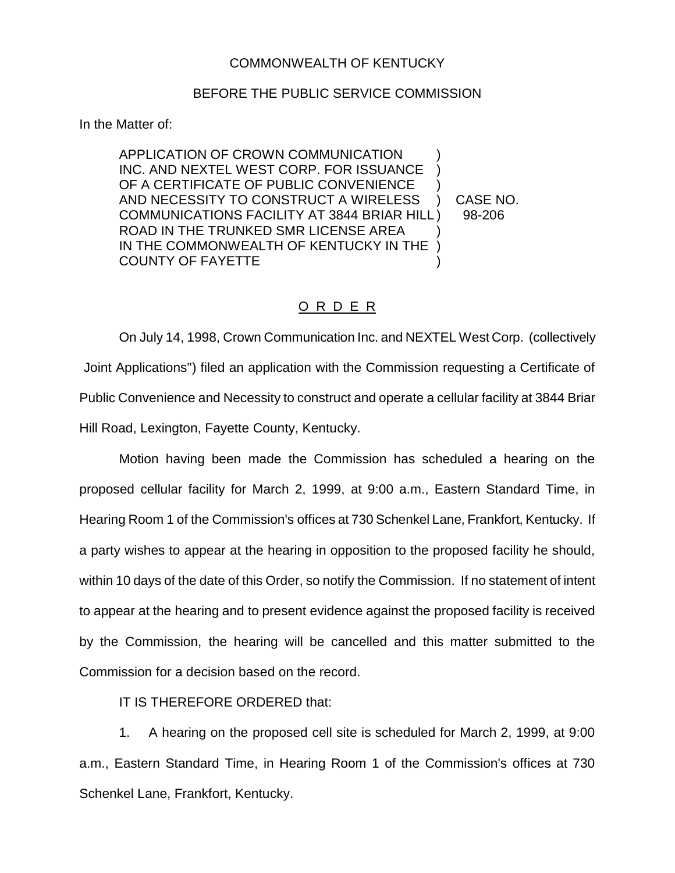## COMMONWEALTH OF KENTUCKY

## BEFORE THE PUBLIC SERVICE COMMISSION

In the Matter of:

APPLICATION OF CROWN COMMUNICATION ) INC. AND NEXTEL WEST CORP. FOR ISSUANCE OF A CERTIFICATE OF PUBLIC CONVENIENCE AND NECESSITY TO CONSTRUCT A WIRELESS ) CASE NO. COMMUNICATIONS FACILITY AT 3844 BRIAR HILL ) 98-206 ROAD IN THE TRUNKED SMR LICENSE AREA IN THE COMMONWEALTH OF KENTUCKY IN THE ) COUNTY OF FAYETTE )

## O R D E R

On July 14, 1998, Crown Communication Inc. and NEXTEL West Corp. (collectively Joint Applications") filed an application with the Commission requesting a Certificate of Public Convenience and Necessity to construct and operate a cellular facility at 3844 Briar Hill Road, Lexington, Fayette County, Kentucky.

Motion having been made the Commission has scheduled a hearing on the proposed cellular facility for March 2, 1999, at 9:00 a.m., Eastern Standard Time, in Hearing Room 1 of the Commission's offices at 730 Schenkel Lane, Frankfort, Kentucky. If a party wishes to appear at the hearing in opposition to the proposed facility he should, within 10 days of the date of this Order, so notify the Commission. If no statement of intent to appear at the hearing and to present evidence against the proposed facility is received by the Commission, the hearing will be cancelled and this matter submitted to the Commission for a decision based on the record.

IT IS THEREFORE ORDERED that:

1. A hearing on the proposed cell site is scheduled for March 2, 1999, at 9:00 a.m., Eastern Standard Time, in Hearing Room 1 of the Commission's offices at 730 Schenkel Lane, Frankfort, Kentucky.